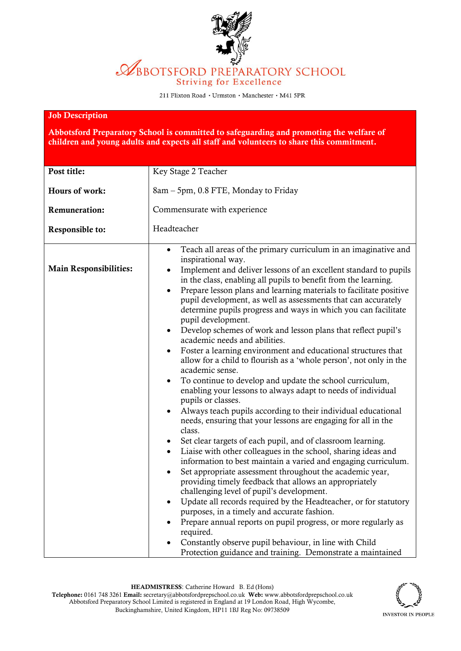

## **ABBOTSFORD PREPARATORY SCHOOL Striving for Excellence**

211 Flixton Road · Urmston · Manchester · M41 5PR

## Job Description

Abbotsford Preparatory School is committed to safeguarding and promoting the welfare of children and young adults and expects all staff and volunteers to share this commitment.

| Post title:                   |                                                                                                                                                                                                                                                                                                                                                                                                                                                                                                                                                                                                                                                                                                                                                                                                                                                                                                                                                                                                                                                                                                                                                                                                                                                                                                                                                                                                                                                                                                                                                                                                                                                                            |  |  |  |
|-------------------------------|----------------------------------------------------------------------------------------------------------------------------------------------------------------------------------------------------------------------------------------------------------------------------------------------------------------------------------------------------------------------------------------------------------------------------------------------------------------------------------------------------------------------------------------------------------------------------------------------------------------------------------------------------------------------------------------------------------------------------------------------------------------------------------------------------------------------------------------------------------------------------------------------------------------------------------------------------------------------------------------------------------------------------------------------------------------------------------------------------------------------------------------------------------------------------------------------------------------------------------------------------------------------------------------------------------------------------------------------------------------------------------------------------------------------------------------------------------------------------------------------------------------------------------------------------------------------------------------------------------------------------------------------------------------------------|--|--|--|
|                               | Key Stage 2 Teacher                                                                                                                                                                                                                                                                                                                                                                                                                                                                                                                                                                                                                                                                                                                                                                                                                                                                                                                                                                                                                                                                                                                                                                                                                                                                                                                                                                                                                                                                                                                                                                                                                                                        |  |  |  |
| Hours of work:                | 8am - 5pm, 0.8 FTE, Monday to Friday                                                                                                                                                                                                                                                                                                                                                                                                                                                                                                                                                                                                                                                                                                                                                                                                                                                                                                                                                                                                                                                                                                                                                                                                                                                                                                                                                                                                                                                                                                                                                                                                                                       |  |  |  |
| <b>Remuneration:</b>          | Commensurate with experience                                                                                                                                                                                                                                                                                                                                                                                                                                                                                                                                                                                                                                                                                                                                                                                                                                                                                                                                                                                                                                                                                                                                                                                                                                                                                                                                                                                                                                                                                                                                                                                                                                               |  |  |  |
| Responsible to:               | Headteacher                                                                                                                                                                                                                                                                                                                                                                                                                                                                                                                                                                                                                                                                                                                                                                                                                                                                                                                                                                                                                                                                                                                                                                                                                                                                                                                                                                                                                                                                                                                                                                                                                                                                |  |  |  |
| <b>Main Responsibilities:</b> | Teach all areas of the primary curriculum in an imaginative and<br>$\bullet$<br>inspirational way.<br>Implement and deliver lessons of an excellent standard to pupils<br>in the class, enabling all pupils to benefit from the learning.<br>Prepare lesson plans and learning materials to facilitate positive<br>$\bullet$<br>pupil development, as well as assessments that can accurately<br>determine pupils progress and ways in which you can facilitate<br>pupil development.<br>Develop schemes of work and lesson plans that reflect pupil's<br>academic needs and abilities.<br>Foster a learning environment and educational structures that<br>$\bullet$<br>allow for a child to flourish as a 'whole person', not only in the<br>academic sense.<br>To continue to develop and update the school curriculum,<br>$\bullet$<br>enabling your lessons to always adapt to needs of individual<br>pupils or classes.<br>Always teach pupils according to their individual educational<br>needs, ensuring that your lessons are engaging for all in the<br>class.<br>Set clear targets of each pupil, and of classroom learning.<br>Liaise with other colleagues in the school, sharing ideas and<br>information to best maintain a varied and engaging curriculum.<br>Set appropriate assessment throughout the academic year,<br>$\bullet$<br>providing timely feedback that allows an appropriately<br>challenging level of pupil's development.<br>Update all records required by the Headteacher, or for statutory<br>$\bullet$<br>purposes, in a timely and accurate fashion.<br>Prepare annual reports on pupil progress, or more regularly as<br>$\bullet$ |  |  |  |
|                               | required.<br>Constantly observe pupil behaviour, in line with Child<br>Protection guidance and training. Demonstrate a maintained                                                                                                                                                                                                                                                                                                                                                                                                                                                                                                                                                                                                                                                                                                                                                                                                                                                                                                                                                                                                                                                                                                                                                                                                                                                                                                                                                                                                                                                                                                                                          |  |  |  |

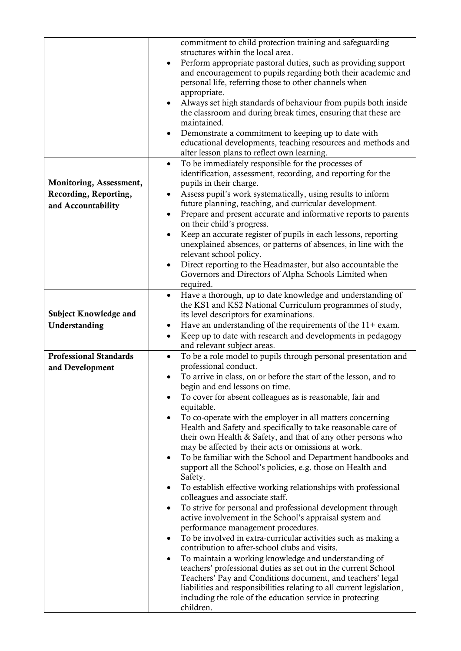|                               | commitment to child protection training and safeguarding                                            |  |  |
|-------------------------------|-----------------------------------------------------------------------------------------------------|--|--|
|                               | structures within the local area.                                                                   |  |  |
|                               | Perform appropriate pastoral duties, such as providing support<br>$\bullet$                         |  |  |
|                               | and encouragement to pupils regarding both their academic and                                       |  |  |
|                               | personal life, referring those to other channels when                                               |  |  |
|                               | appropriate.                                                                                        |  |  |
|                               | Always set high standards of behaviour from pupils both inside                                      |  |  |
|                               | the classroom and during break times, ensuring that these are                                       |  |  |
|                               | maintained.                                                                                         |  |  |
|                               | Demonstrate a commitment to keeping up to date with<br>$\bullet$                                    |  |  |
|                               | educational developments, teaching resources and methods and                                        |  |  |
|                               | alter lesson plans to reflect own learning.<br>To be immediately responsible for the processes of   |  |  |
|                               | $\bullet$<br>identification, assessment, recording, and reporting for the                           |  |  |
| Monitoring, Assessment,       | pupils in their charge.                                                                             |  |  |
| Recording, Reporting,         | Assess pupil's work systematically, using results to inform                                         |  |  |
|                               | future planning, teaching, and curricular development.                                              |  |  |
| and Accountability            | Prepare and present accurate and informative reports to parents<br>$\bullet$                        |  |  |
|                               | on their child's progress.                                                                          |  |  |
|                               | Keep an accurate register of pupils in each lessons, reporting<br>$\bullet$                         |  |  |
|                               | unexplained absences, or patterns of absences, in line with the                                     |  |  |
|                               | relevant school policy.                                                                             |  |  |
|                               | Direct reporting to the Headmaster, but also accountable the                                        |  |  |
|                               | Governors and Directors of Alpha Schools Limited when                                               |  |  |
|                               | required.                                                                                           |  |  |
|                               | Have a thorough, up to date knowledge and understanding of<br>$\bullet$                             |  |  |
| <b>Subject Knowledge and</b>  | the KS1 and KS2 National Curriculum programmes of study,<br>its level descriptors for examinations. |  |  |
| Understanding                 | Have an understanding of the requirements of the 11+ exam.<br>$\bullet$                             |  |  |
|                               | Keep up to date with research and developments in pedagogy<br>٠                                     |  |  |
|                               | and relevant subject areas.                                                                         |  |  |
| <b>Professional Standards</b> | To be a role model to pupils through personal presentation and<br>$\bullet$                         |  |  |
| and Development               | professional conduct.                                                                               |  |  |
|                               | To arrive in class, on or before the start of the lesson, and to                                    |  |  |
|                               | begin and end lessons on time.                                                                      |  |  |
|                               | To cover for absent colleagues as is reasonable, fair and<br>٠                                      |  |  |
|                               | equitable.                                                                                          |  |  |
|                               | To co-operate with the employer in all matters concerning                                           |  |  |
|                               | Health and Safety and specifically to take reasonable care of                                       |  |  |
|                               | their own Health & Safety, and that of any other persons who                                        |  |  |
|                               | may be affected by their acts or omissions at work.                                                 |  |  |
|                               | To be familiar with the School and Department handbooks and<br>$\bullet$                            |  |  |
|                               | support all the School's policies, e.g. those on Health and<br>Safety.                              |  |  |
|                               | To establish effective working relationships with professional<br>٠                                 |  |  |
|                               | colleagues and associate staff.                                                                     |  |  |
|                               | To strive for personal and professional development through<br>$\bullet$                            |  |  |
|                               | active involvement in the School's appraisal system and                                             |  |  |
|                               | performance management procedures.                                                                  |  |  |
|                               | To be involved in extra-curricular activities such as making a<br>$\bullet$                         |  |  |
|                               | contribution to after-school clubs and visits.                                                      |  |  |
|                               | To maintain a working knowledge and understanding of<br>٠                                           |  |  |
|                               | teachers' professional duties as set out in the current School                                      |  |  |
|                               | Teachers' Pay and Conditions document, and teachers' legal                                          |  |  |
|                               | liabilities and responsibilities relating to all current legislation,                               |  |  |
|                               | including the role of the education service in protecting<br>children.                              |  |  |
|                               |                                                                                                     |  |  |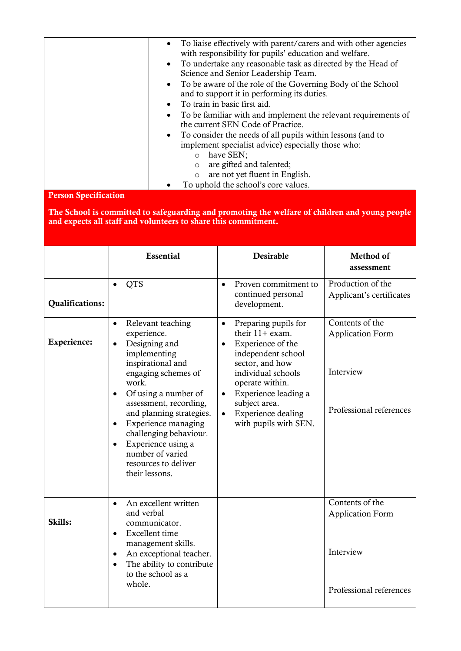| • To liaise effectively with parent/carers and with other agencies<br>with responsibility for pupils' education and welfare. |
|------------------------------------------------------------------------------------------------------------------------------|
| • To undertake any reasonable task as directed by the Head of                                                                |
| Science and Senior Leadership Team.                                                                                          |
| • To be aware of the role of the Governing Body of the School                                                                |
| and to support it in performing its duties.                                                                                  |
| • To train in basic first aid.                                                                                               |
| To be familiar with and implement the relevant requirements of                                                               |
| the current SEN Code of Practice.                                                                                            |
| • To consider the needs of all pupils within lessons (and to                                                                 |
| implement specialist advice) especially those who:                                                                           |
| have SEN;<br>$\circ$                                                                                                         |
| are gifted and talented;                                                                                                     |
| are not yet fluent in English.<br>$\circ$                                                                                    |
| To uphold the school's core values.                                                                                          |

Person Specification

The School is committed to safeguarding and promoting the welfare of children and young people and expects all staff and volunteers to share this commitment.

|                        | <b>Essential</b>                                                                                                                                                                                                                                                                                                                                                                                           | <b>Desirable</b>                                                                                                                                                                                                                                                                               | Method of<br>assessment                                                            |
|------------------------|------------------------------------------------------------------------------------------------------------------------------------------------------------------------------------------------------------------------------------------------------------------------------------------------------------------------------------------------------------------------------------------------------------|------------------------------------------------------------------------------------------------------------------------------------------------------------------------------------------------------------------------------------------------------------------------------------------------|------------------------------------------------------------------------------------|
| <b>Qualifications:</b> | <b>QTS</b>                                                                                                                                                                                                                                                                                                                                                                                                 | Proven commitment to<br>$\bullet$<br>continued personal<br>development.                                                                                                                                                                                                                        | Production of the<br>Applicant's certificates                                      |
| Experience:            | Relevant teaching<br>$\bullet$<br>experience.<br>Designing and<br>$\bullet$<br>implementing<br>inspirational and<br>engaging schemes of<br>work.<br>Of using a number of<br>$\bullet$<br>assessment, recording,<br>and planning strategies.<br>Experience managing<br>$\bullet$<br>challenging behaviour.<br>Experience using a<br>$\bullet$<br>number of varied<br>resources to deliver<br>their lessons. | Preparing pupils for<br>$\bullet$<br>their $11 + e$ xam.<br>Experience of the<br>$\bullet$<br>independent school<br>sector, and how<br>individual schools<br>operate within.<br>Experience leading a<br>$\bullet$<br>subject area.<br>Experience dealing<br>$\bullet$<br>with pupils with SEN. | Contents of the<br><b>Application Form</b><br>Interview<br>Professional references |
| Skills:                | An excellent written<br>$\bullet$<br>and verbal<br>communicator.<br>Excellent time<br>$\bullet$<br>management skills.<br>An exceptional teacher.<br>$\bullet$<br>The ability to contribute<br>$\bullet$<br>to the school as a<br>whole.                                                                                                                                                                    |                                                                                                                                                                                                                                                                                                | Contents of the<br><b>Application Form</b><br>Interview<br>Professional references |